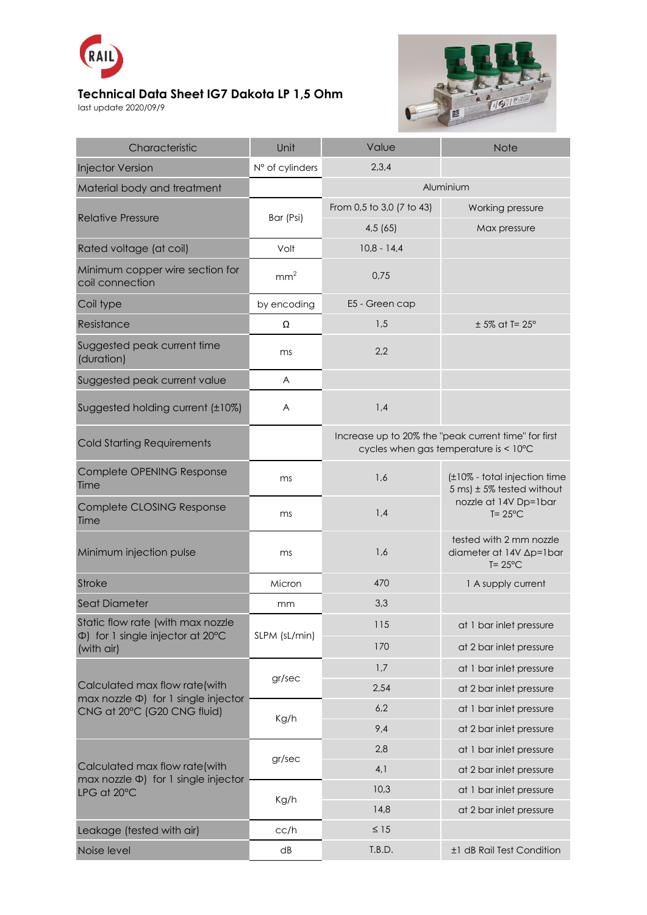

## **Technical Data Sheet IG7 Dakota LP 1,5 Ohm**

last update 2020/09/9



| Characteristic                                                                                            | Unit            | Value                                                                                         | <b>Note</b>                                                                                                       |
|-----------------------------------------------------------------------------------------------------------|-----------------|-----------------------------------------------------------------------------------------------|-------------------------------------------------------------------------------------------------------------------|
| <b>Injector Version</b>                                                                                   | N° of cylinders | 2,3,4                                                                                         |                                                                                                                   |
| Material body and treatment                                                                               |                 | Aluminium                                                                                     |                                                                                                                   |
| <b>Relative Pressure</b>                                                                                  | Bar (Psi)       | From 0,5 to 3,0 (7 to 43)                                                                     | Working pressure                                                                                                  |
|                                                                                                           |                 | 4,5(65)                                                                                       | Max pressure                                                                                                      |
| Rated voltage (at coil)                                                                                   | Volt            | $10,8 - 14,4$                                                                                 |                                                                                                                   |
| Minimum copper wire section for<br>coil connection                                                        | mm <sup>2</sup> | 0,75                                                                                          |                                                                                                                   |
| Coil type                                                                                                 | by encoding     | E5 - Green cap                                                                                |                                                                                                                   |
| Resistance                                                                                                | Ω               | 1,5                                                                                           | $± 5\%$ at T= $25^\circ$                                                                                          |
| Suggested peak current time<br>(duration)                                                                 | ms              | 2,2                                                                                           |                                                                                                                   |
| Suggested peak current value                                                                              | A               |                                                                                               |                                                                                                                   |
| Suggested holding current (±10%)                                                                          | A               | 1,4                                                                                           |                                                                                                                   |
| <b>Cold Starting Requirements</b>                                                                         |                 | Increase up to 20% the "peak current time" for first<br>cycles when gas temperature is < 10°C |                                                                                                                   |
| Complete OPENING Response<br>Time                                                                         | ms              | 1,6                                                                                           | (±10% - total injection time<br>$5 \text{ ms}$ ± 5% tested without<br>nozzle at 14V Dp=1bar<br>$T = 25^{\circ}$ C |
| Complete CLOSING Response<br>Time                                                                         | ms              | 1,4                                                                                           |                                                                                                                   |
| Minimum injection pulse                                                                                   | ms              | 1,6                                                                                           | tested with 2 mm nozzle<br>diameter at 14V Ap=1bar<br>$T = 25^{\circ}$ C                                          |
| <b>Stroke</b>                                                                                             | Micron          | 470                                                                                           | 1 A supply current                                                                                                |
| <b>Seat Diameter</b>                                                                                      | mm              | 3,3                                                                                           |                                                                                                                   |
| Static flow rate (with max nozzle<br>$\Phi$ ) for 1 single injector at 20 $\degree$ C<br>(with air)       | SLPM (sL/min)   | 115                                                                                           | at 1 bar inlet pressure                                                                                           |
|                                                                                                           |                 | 170                                                                                           | at 2 bar inlet pressure                                                                                           |
| Calculated max flow rate(with<br>max nozzle $\Phi$ ) for 1 single injector<br>CNG at 20°C (G20 CNG fluid) | gr/sec          | 1,7                                                                                           | at 1 bar inlet pressure                                                                                           |
|                                                                                                           |                 | 2,54                                                                                          | at 2 bar inlet pressure                                                                                           |
|                                                                                                           | Kg/h            | 6,2                                                                                           | at 1 bar inlet pressure                                                                                           |
|                                                                                                           |                 | 9,4                                                                                           | at 2 bar inlet pressure                                                                                           |
| Calculated max flow rate(with<br>max nozzle $\Phi$ ) for 1 single injector<br>LPG at 20°C                 | gr/sec          | 2,8                                                                                           | at 1 bar inlet pressure                                                                                           |
|                                                                                                           |                 | 4,1                                                                                           | at 2 bar inlet pressure                                                                                           |
|                                                                                                           | Kg/h            | 10,3                                                                                          | at 1 bar inlet pressure                                                                                           |
|                                                                                                           |                 | 14,8                                                                                          | at 2 bar inlet pressure                                                                                           |
| Leakage (tested with air)                                                                                 | cc/h            | $\leq 15$                                                                                     |                                                                                                                   |
| Noise level                                                                                               | dB              | T.B.D.                                                                                        | ±1 dB Rail Test Condition                                                                                         |